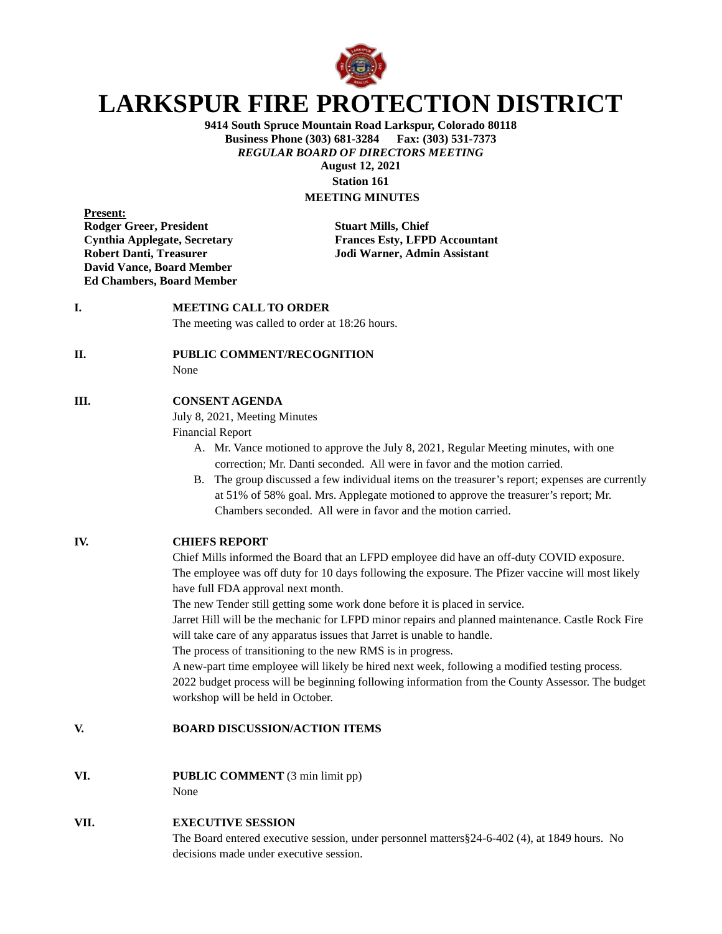

# **LARKSPUR FIRE PROTECTION DISTRICT**

**9414 South Spruce Mountain Road Larkspur, Colorado 80118 Business Phone (303) 681-3284** *REGULAR BOARD OF DIRECTORS MEETING* **August 12, 2021 Station 161**

# **MEETING MINUTES**

**Present: Rodger Greer, President Stuart Mills, Chief David Vance, Board Member Ed Chambers, Board Member**

**Cynthia Applegate, Secretary Frances Esty, LFPD Accountant Robert Danti, Treasurer Jodi Warner, Admin Assistant**

### **I. MEETING CALL TO ORDER**

The meeting was called to order at 18:26 hours.

#### **II. PUBLIC COMMENT/RECOGNITION**

None

#### **III. CONSENT AGENDA**

July 8, 2021, Meeting Minutes

Financial Report

- A. Mr. Vance motioned to approve the July 8, 2021, Regular Meeting minutes, with one correction; Mr. Danti seconded. All were in favor and the motion carried.
- B. The group discussed a few individual items on the treasurer's report; expenses are currently at 51% of 58% goal. Mrs. Applegate motioned to approve the treasurer's report; Mr. Chambers seconded. All were in favor and the motion carried.

## **IV. CHIEFS REPORT**

Chief Mills informed the Board that an LFPD employee did have an off-duty COVID exposure. The employee was off duty for 10 days following the exposure. The Pfizer vaccine will most likely have full FDA approval next month.

The new Tender still getting some work done before it is placed in service.

Jarret Hill will be the mechanic for LFPD minor repairs and planned maintenance. Castle Rock Fire will take care of any apparatus issues that Jarret is unable to handle.

The process of transitioning to the new RMS is in progress.

A new-part time employee will likely be hired next week, following a modified testing process. 2022 budget process will be beginning following information from the County Assessor. The budget workshop will be held in October.

#### **V. BOARD DISCUSSION/ACTION ITEMS**

**VI. PUBLIC COMMENT** (3 min limit pp)

None

#### **VII. EXECUTIVE SESSION**

The Board entered executive session, under personnel matters§24-6-402 (4), at 1849 hours. No decisions made under executive session.